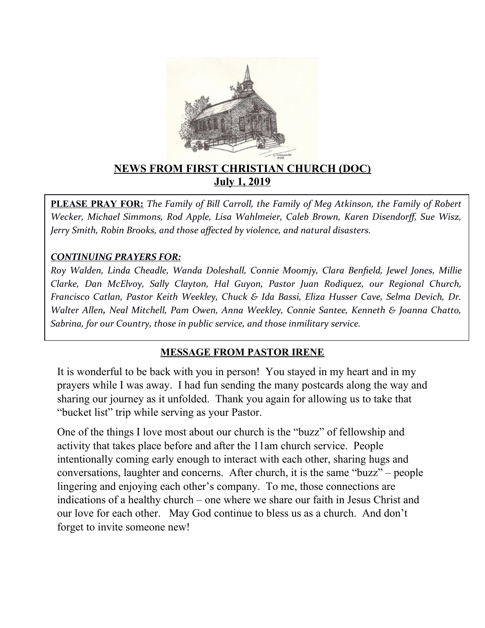

### **NEWS FROM FIRST CHRISTIAN CHURCH (DOC) July 1, 2019**

**PLEASE PRAY FOR:** *The Family of Bill Carroll, the Family of Meg Atkinson, the Family of Robert Wecker, Michael Simmons, Rod Apple, Lisa Wahlmeier, Caleb Brown, Karen Disendorf, Sue Wisz, Jerry Smith, Robin Brooks, and those afected by violence, and natural disasters.*

#### *CONTINUING PRAYERS FOR:*

*Roy Walden, Linda Cheadle, Wanda Doleshall, Connie Moomjy, Clara Benfeld, Jewel Jones, Millie Clarke, Dan McElvoy, Sally Clayton, Hal Guyon, Pastor Juan R0diquez, our Regional Church, Francisco Catlan, Pastor Keith Weekley, Chuck & Ida Bassi, Eliza Husser Cave, Selma Devich, Dr. Walter Allen, Neal Mitchell, Pam Owen, Anna Weekley, Connie Santee, Kenneth & Joanna Chatto, Sabrina, for our Country, those in public service, and those inmilitary service.* 

#### **MESSAGE FROM PASTOR IRENE**

It is wonderful to be back with you in person! You stayed in my heart and in my prayers while I was away. I had fun sending the many postcards along the way and sharing our journey as it unfolded. Thank you again for allowing us to take that "bucket list" trip while serving as your Pastor.

One of the things I love most about our church is the "buzz" of fellowship and activity that takes place before and after the 11am church service. People intentionally coming early enough to interact with each other, sharing hugs and conversations, laughter and concerns. After church, it is the same "buzz" – people lingering and enjoying each other's company. To me, those connections are indications of a healthy church – one where we share our faith in Jesus Christ and our love for each other. May God continue to bless us as a church. And don't forget to invite someone new!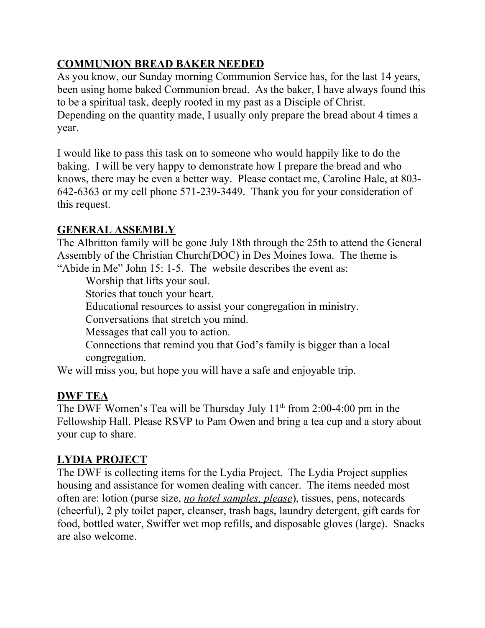## **COMMUNION BREAD BAKER NEEDED**

As you know, our Sunday morning Communion Service has, for the last 14 years, been using home baked Communion bread. As the baker, I have always found this to be a spiritual task, deeply rooted in my past as a Disciple of Christ. Depending on the quantity made, I usually only prepare the bread about 4 times a year.

I would like to pass this task on to someone who would happily like to do the baking. I will be very happy to demonstrate how I prepare the bread and who knows, there may be even a better way. Please contact me, Caroline Hale, at 803- 642-6363 or my cell phone 571-239-3449. Thank you for your consideration of this request.

### **GENERAL ASSEMBLY**

The Albritton family will be gone July 18th through the 25th to attend the General Assembly of the Christian Church(DOC) in Des Moines Iowa. The theme is "Abide in Me" John 15: 1-5. The website describes the event as:

Worship that lifts your soul.

Stories that touch your heart.

Educational resources to assist your congregation in ministry.

Conversations that stretch you mind.

Messages that call you to action.

Connections that remind you that God's family is bigger than a local congregation.

We will miss you, but hope you will have a safe and enjoyable trip.

## **DWF TEA**

The DWF Women's Tea will be Thursday July  $11<sup>th</sup>$  from 2:00-4:00 pm in the Fellowship Hall. Please RSVP to Pam Owen and bring a tea cup and a story about your cup to share.

## **LYDIA PROJECT**

The DWF is collecting items for the Lydia Project. The Lydia Project supplies housing and assistance for women dealing with cancer. The items needed most often are: lotion (purse size, *no hotel samples, please*), tissues, pens, notecards (cheerful), 2 ply toilet paper, cleanser, trash bags, laundry detergent, gift cards for food, bottled water, Swiffer wet mop refills, and disposable gloves (large). Snacks are also welcome.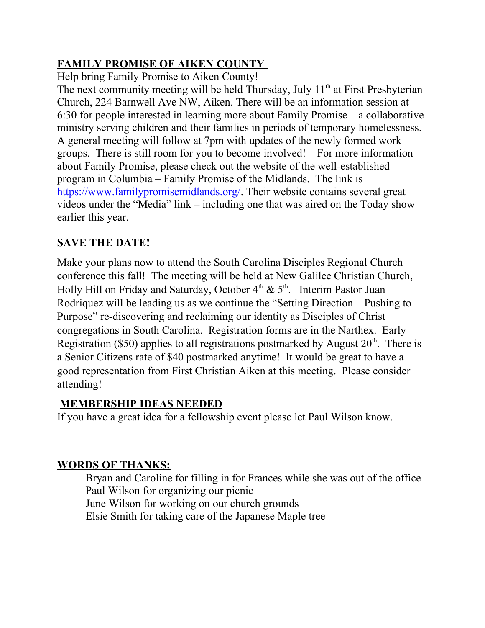## **FAMILY PROMISE OF AIKEN COUNTY**

Help bring Family Promise to Aiken County!

The next community meeting will be held Thursday, July  $11<sup>th</sup>$  at First Presbyterian Church, 224 Barnwell Ave NW, Aiken. There will be an information session at 6:30 for people interested in learning more about Family Promise – a collaborative ministry serving children and their families in periods of temporary homelessness. A general meeting will follow at 7pm with updates of the newly formed work groups. There is still room for you to become involved! For more information about Family Promise, please check out the website of the well-established program in Columbia – Family Promise of the Midlands. The link is [https://www.familypromisemidlands.org/.](https://www.familypromisemidlands.org/) Their website contains several great videos under the "Media" link – including one that was aired on the Today show earlier this year.

# **SAVE THE DATE!**

Make your plans now to attend the South Carolina Disciples Regional Church conference this fall! The meeting will be held at New Galilee Christian Church, Holly Hill on Friday and Saturday, October  $4<sup>th</sup>$  &  $5<sup>th</sup>$ . Interim Pastor Juan Rodriquez will be leading us as we continue the "Setting Direction – Pushing to Purpose" re-discovering and reclaiming our identity as Disciples of Christ congregations in South Carolina. Registration forms are in the Narthex. Early Registration (\$50) applies to all registrations postmarked by August  $20<sup>th</sup>$ . There is a Senior Citizens rate of \$40 postmarked anytime! It would be great to have a good representation from First Christian Aiken at this meeting. Please consider attending!

# **MEMBERSHIP IDEAS NEEDED**

If you have a great idea for a fellowship event please let Paul Wilson know.

# **WORDS OF THANKS:**

Bryan and Caroline for filling in for Frances while she was out of the office Paul Wilson for organizing our picnic June Wilson for working on our church grounds Elsie Smith for taking care of the Japanese Maple tree